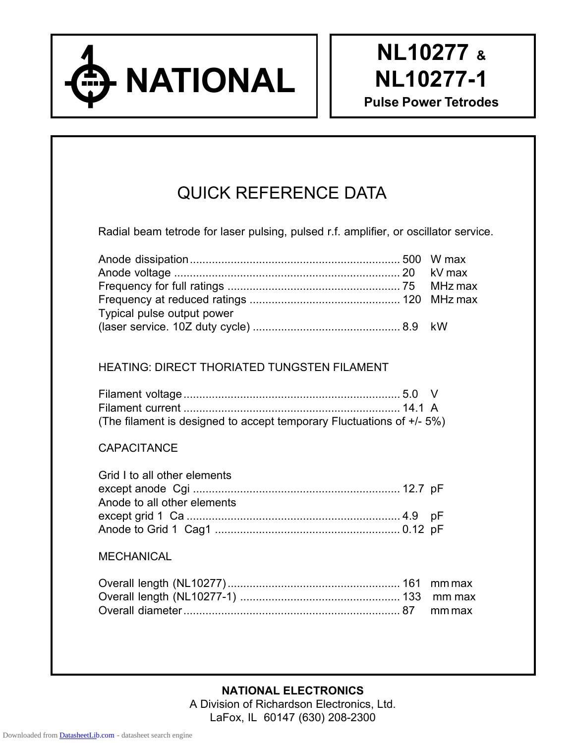

# QUICK REFERENCE DATA

Radial beam tetrode for laser pulsing, pulsed r.f. amplifier, or oscillator service.

| Typical pulse output power |  |
|----------------------------|--|
|                            |  |

# HEATING: DIRECT THORIATED TUNGSTEN FILAMENT

| (The filament is designed to accept temporary Fluctuations of +/- 5%) |  |
|-----------------------------------------------------------------------|--|

## **CAPACITANCE**

| Grid I to all other elements |  |
|------------------------------|--|
|                              |  |
| Anode to all other elements  |  |
|                              |  |
|                              |  |

## MECHANICAL

**NATIONAL ELECTRONICS** A Division of Richardson Electronics, Ltd. LaFox, IL 60147 (630) 208-2300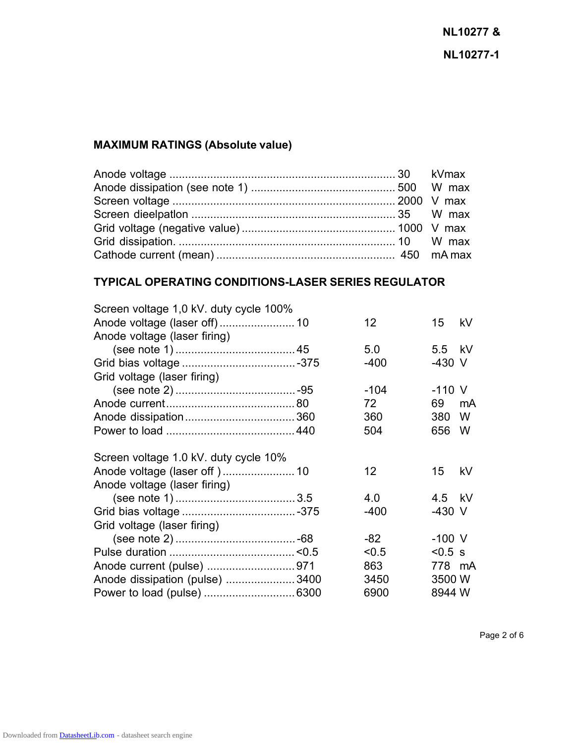# **MAXIMUM RATINGS (Absolute value)**

# **TYPICAL OPERATING CONDITIONS-LASER SERIES REGULATOR**

| Screen voltage 1,0 kV. duty cycle 100% |                 |           |    |
|----------------------------------------|-----------------|-----------|----|
|                                        | 12 <sup>°</sup> | 15        | kV |
| Anode voltage (laser firing)           |                 |           |    |
|                                        | 5.0             | 5.5 kV    |    |
|                                        | $-400$          | $-430$ V  |    |
| Grid voltage (laser firing)            |                 |           |    |
|                                        | $-104$          | $-110$ V  |    |
|                                        | 72              | 69        | mA |
|                                        | 360             | 380       | W  |
|                                        | 504             | 656       | W  |
| Screen voltage 1.0 kV. duty cycle 10%  |                 |           |    |
|                                        | 12              | 15        | kV |
| Anode voltage (laser firing)           |                 |           |    |
|                                        | 4.0             | 4.5 kV    |    |
|                                        | -400            | -430 V    |    |
| Grid voltage (laser firing)            |                 |           |    |
|                                        | -82             | $-100$ V  |    |
|                                        | < 0.5           | $< 0.5$ s |    |
|                                        | 863             | 778 mA    |    |
| Anode dissipation (pulse) 3400         | 3450            | 3500 W    |    |
|                                        | 6900            | 8944 W    |    |
|                                        |                 |           |    |

Page 2 of 6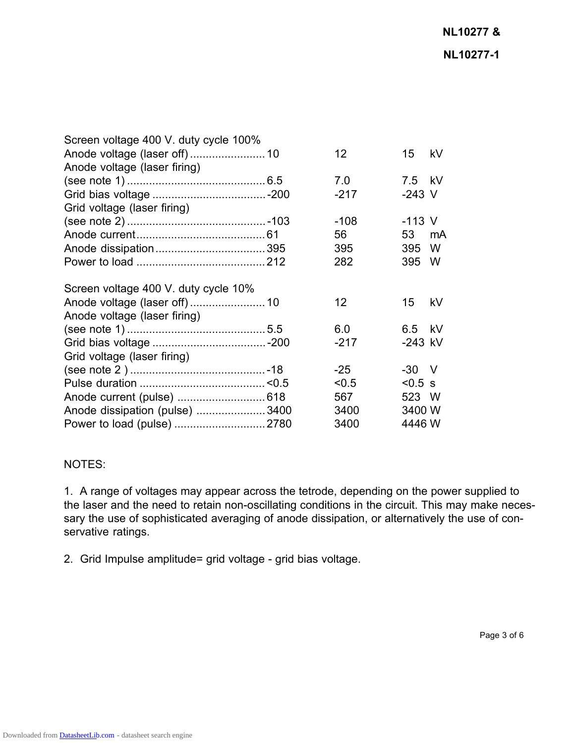| Screen voltage 400 V. duty cycle 100% |                 |           |    |
|---------------------------------------|-----------------|-----------|----|
|                                       | 12              | 15        | kV |
| Anode voltage (laser firing)          |                 |           |    |
|                                       | 7.0             | 7.5 kV    |    |
|                                       | $-217$          | $-243$ V  |    |
| Grid voltage (laser firing)           |                 |           |    |
|                                       | $-108$          | $-113$ V  |    |
|                                       | 56              | 53        | mA |
|                                       | 395             | 395       | W  |
|                                       | 282             | 395       | W  |
| Screen voltage 400 V. duty cycle 10%  |                 |           |    |
|                                       | 12 <sup>2</sup> | 15        | kV |
| Anode voltage (laser firing)          |                 |           |    |
|                                       | 6.0             | 6.5 kV    |    |
|                                       | $-217$          | $-243$ kV |    |
| Grid voltage (laser firing)           |                 |           |    |
|                                       | $-25$           | $-30$ V   |    |
|                                       | < 0.5           | $< 0.5$ s |    |
| Anode current (pulse)  618            | 567             | 523 W     |    |
| Anode dissipation (pulse) 3400        | 3400            | 3400 W    |    |
| Power to load (pulse)  2780           | 3400            | 4446 W    |    |

#### NOTES:

1. A range of voltages may appear across the tetrode, depending on the power supplied to the laser and the need to retain non-oscillating conditions in the circuit. This may make necessary the use of sophisticated averaging of anode dissipation, or alternatively the use of conservative ratings.

2. Grid Impulse amplitude= grid voltage - grid bias voltage.

Page 3 of 6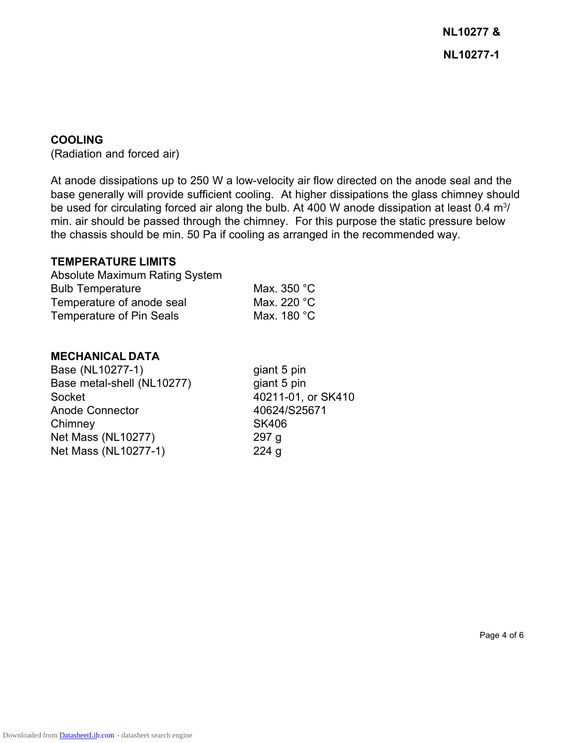**NL10277 & NL10277-1**

#### **COOLING**

(Radiation and forced air)

At anode dissipations up to 250 W a low-velocity air flow directed on the anode seal and the base generally will provide sufficient cooling. At higher dissipations the glass chimney should be used for circulating forced air along the bulb. At 400 W anode dissipation at least 0.4  $m<sup>3</sup>/$ min. air should be passed through the chimney. For this purpose the static pressure below the chassis should be min. 50 Pa if cooling as arranged in the recommended way.

#### **TEMPERATURE LIMITS**

| <b>Absolute Maximum Rating System</b> |             |
|---------------------------------------|-------------|
| <b>Bulb Temperature</b>               | Max. 350 °C |
| Temperature of anode seal             | Max. 220 °C |
| Temperature of Pin Seals              | Max. 180 °C |

#### **MECHANICAL DATA**

Base (NL10277-1) giant 5 pin Base metal-shell (NL10277) giant 5 pin Socket 40211-01, or SK410 Anode Connector 40624/S25671 Chimney SK406 Net Mass (NL10277) 297 g Net Mass (NL10277-1) 224 g

Page 4 of 6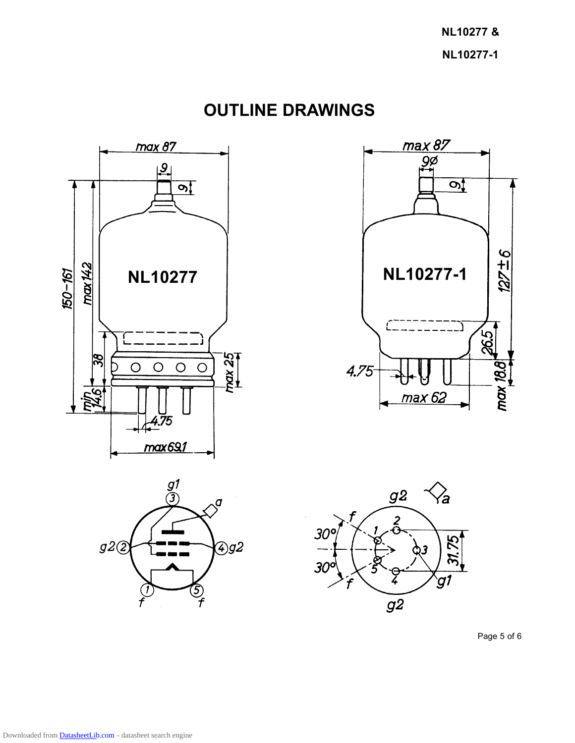**NL10277 & NL10277-1**

**OUTLINE DRAWINGS**